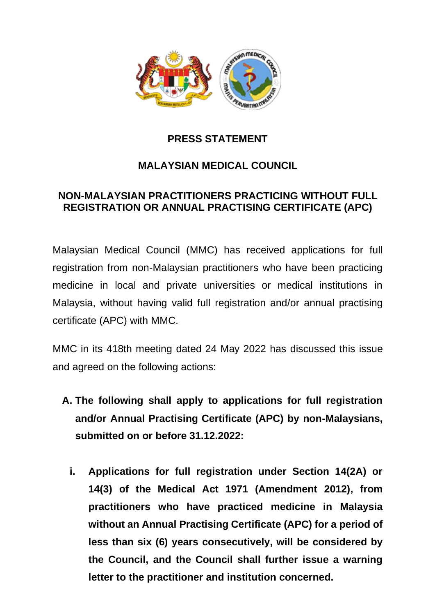

## **PRESS STATEMENT**

## **MALAYSIAN MEDICAL COUNCIL**

## **NON-MALAYSIAN PRACTITIONERS PRACTICING WITHOUT FULL REGISTRATION OR ANNUAL PRACTISING CERTIFICATE (APC)**

Malaysian Medical Council (MMC) has received applications for full registration from non-Malaysian practitioners who have been practicing medicine in local and private universities or medical institutions in Malaysia, without having valid full registration and/or annual practising certificate (APC) with MMC.

MMC in its 418th meeting dated 24 May 2022 has discussed this issue and agreed on the following actions:

- **A. The following shall apply to applications for full registration and/or Annual Practising Certificate (APC) by non-Malaysians, submitted on or before 31.12.2022:**
	- **i. Applications for full registration under Section 14(2A) or 14(3) of the Medical Act 1971 (Amendment 2012), from practitioners who have practiced medicine in Malaysia without an Annual Practising Certificate (APC) for a period of less than six (6) years consecutively, will be considered by the Council, and the Council shall further issue a warning letter to the practitioner and institution concerned.**